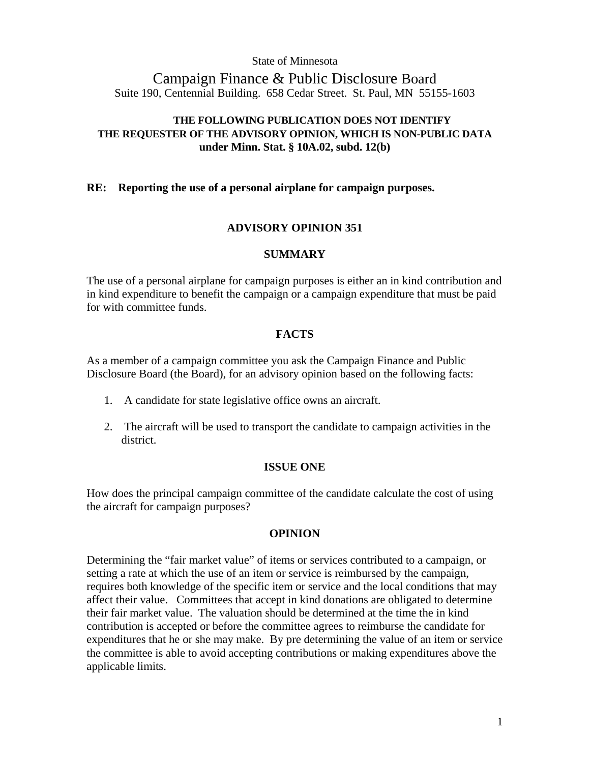## State of Minnesota

# Campaign Finance & Public Disclosure Board Suite 190, Centennial Building. 658 Cedar Street. St. Paul, MN 55155-1603

# **THE FOLLOWING PUBLICATION DOES NOT IDENTIFY THE REQUESTER OF THE ADVISORY OPINION, WHICH IS NON-PUBLIC DATA under Minn. Stat. § 10A.02, subd. 12(b)**

#### **RE: Reporting the use of a personal airplane for campaign purposes.**

## **ADVISORY OPINION 351**

#### **SUMMARY**

The use of a personal airplane for campaign purposes is either an in kind contribution and in kind expenditure to benefit the campaign or a campaign expenditure that must be paid for with committee funds.

## **FACTS**

As a member of a campaign committee you ask the Campaign Finance and Public Disclosure Board (the Board), for an advisory opinion based on the following facts:

- 1. A candidate for state legislative office owns an aircraft.
- 2. The aircraft will be used to transport the candidate to campaign activities in the district.

# **ISSUE ONE**

How does the principal campaign committee of the candidate calculate the cost of using the aircraft for campaign purposes?

#### **OPINION**

Determining the "fair market value" of items or services contributed to a campaign, or setting a rate at which the use of an item or service is reimbursed by the campaign, requires both knowledge of the specific item or service and the local conditions that may affect their value. Committees that accept in kind donations are obligated to determine their fair market value. The valuation should be determined at the time the in kind contribution is accepted or before the committee agrees to reimburse the candidate for expenditures that he or she may make. By pre determining the value of an item or service the committee is able to avoid accepting contributions or making expenditures above the applicable limits.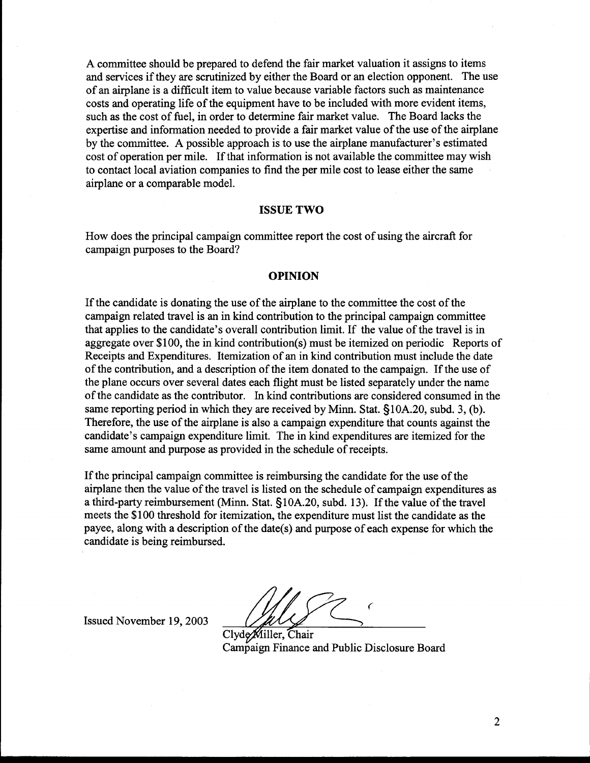A committee should be prepared to defend the fair market valuation it assigns to items and services if they are scrutinized by either the Board or an election opponent. The use of an airplane is a difficult item to value because variable factors such as maintenance costs and operating life of the equipment have to be included with more evident items, such as the cost of fuel, in order to determine fair market value. The Board lacks the expertise and information needed to provide a fair market value of the use of the airplane by the committee. A possible approach is to use the airplane manufacturer's estimated cost of operation per mile. If that information is not available the committee may wish to contact local aviation companies to find the per mile cost to lease either the same airplane or a comparable model.

#### **ISSUE TWO**

How does the principal campaign committee report the cost of using the aircraft for campaign purposes to the Board?

#### **OPINION**

If the candidate is donating the use of the airplane to the committee the cost of the campaign related travel is an in kind contribution to the principal campaign committee that applies to the candidate's overall contribution limit. If the value of the travel is in aggregate over \$100, the in kind contribution(s) must be itemized on periodic Reports of Receipts and Expenditures. Itemization of an in kind contribution must include the date of the contribution, and a description of the item donated to the campaign. If the use of the plane occurs over several dates each flight must be listed separately under the name of the candidate as the contributor. In kind contributions are considered consumed in the same reporting period in which they are received by Minn. Stat. § 10A.20, subd. **3,** (b). Therefore, the use of the airplane is also a campaign expenditure that counts against the candidate's campaign expenditure limit. The in kind expenditures are itemized for the same amount and purpose as provided in the schedule of receipts. **CHINION**<br> **CHINION**<br> **CHINION**<br> **CHINION**<br> **CHINION**<br> **CHINION**<br> **CHINION**<br> **CHINION**<br> **CHINION CHINION CONG TO THE CONGEND INTERFERENT CONGEND TO the properage over 5 100, the initial contribution (b) and in Kind contri** 

If the principal campaign committee is reimbursing the candidate for the use of the airplane then the value of the travel is listed on the schedule of campaign expenditures as a third-party reimbursement (Minn. Stat. §10A.20, subd. 13). If the value of the travel meets the \$100 threshold for itemization, the expenditure must list the candidate as the payee, along with a description of the date(s) and purpose of each expense for which the candidate is being reimbursed.

Clyde Miller, Chair Campaign Finance and Public Disclosure Board